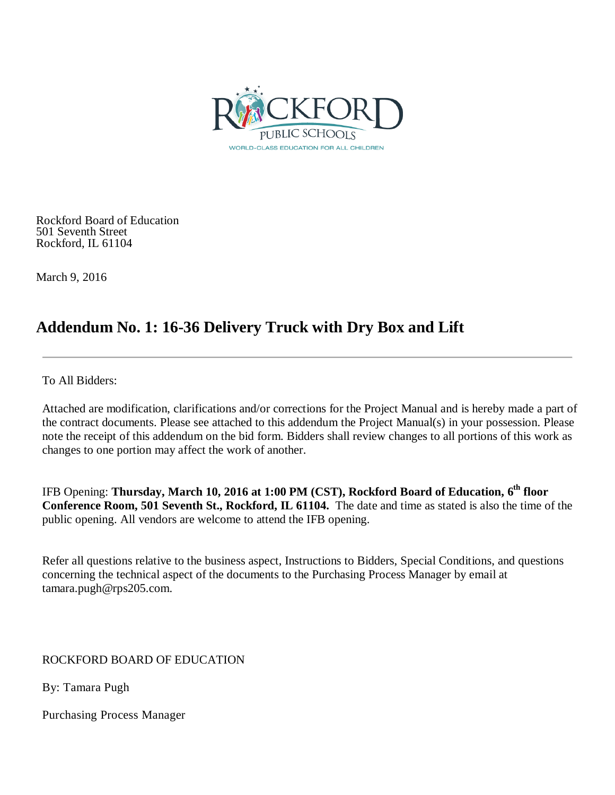

Rockford Board of Education 501 Seventh Street Rockford, IL 61104

March 9, 2016

# **Addendum No. 1: 16-36 Delivery Truck with Dry Box and Lift**

To All Bidders:

Attached are modification, clarifications and/or corrections for the Project Manual and is hereby made a part of the contract documents. Please see attached to this addendum the Project Manual(s) in your possession. Please note the receipt of this addendum on the bid form. Bidders shall review changes to all portions of this work as changes to one portion may affect the work of another.

IFB Opening: **Thursday, March 10, 2016 at 1:00 PM (CST), Rockford Board of Education, 6th floor Conference Room, 501 Seventh St., Rockford, IL 61104.** The date and time as stated is also the time of the public opening. All vendors are welcome to attend the IFB opening.

Refer all questions relative to the business aspect, Instructions to Bidders, Special Conditions, and questions concerning the technical aspect of the documents to the Purchasing Process Manager by email at tamara.pugh@rps205.com.

ROCKFORD BOARD OF EDUCATION

By: Tamara Pugh

Purchasing Process Manager